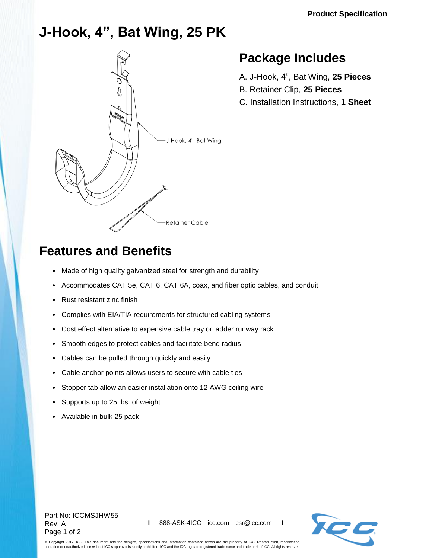# **J-Hook, 4", Bat Wing, 25 PK**



### **Package Includes**

- A. J-Hook, 4", Bat Wing, **25 Pieces**
- B. Retainer Clip, **25 Pieces**
- C. Installation Instructions, **1 Sheet**

## **Features and Benefits**

- Made of high quality galvanized steel for strength and durability
- Accommodates CAT 5e, CAT 6, CAT 6A, coax, and fiber optic cables, and conduit
- Rust resistant zinc finish
- Complies with EIA/TIA requirements for structured cabling systems
- Cost effect alternative to expensive cable tray or ladder runway rack
- Smooth edges to protect cables and facilitate bend radius
- Cables can be pulled through quickly and easily
- Cable anchor points allows users to secure with cable ties
- Stopper tab allow an easier installation onto 12 AWG ceiling wire
- Supports up to 25 lbs. of weight
- Available in bulk 25 pack

#### Part No: ICCMSJHW55 Rev: A Page 1 of 2



© Copyright 2017, ICC. This document and the designs, specifications and information contained herein are the property of ICC. Reproduction, modification, alteration or unauthorized use without ICC's approval is strictly prohibited. ICC and the ICC logo are registered trade name and trademark of ICC. All rights reserved.